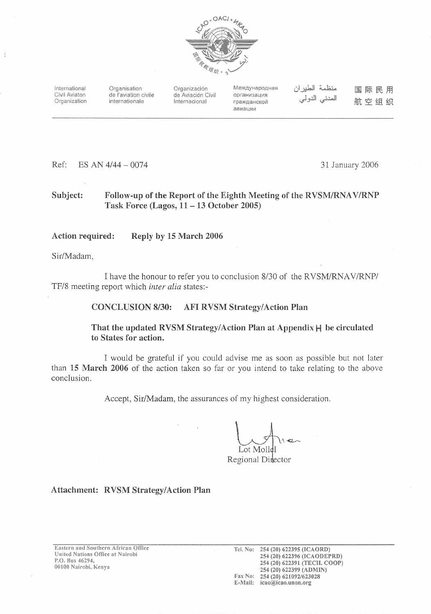

International Civil Aviaton Organization Organisation de l'aviation civile internationale

Organización de Aviación Civil Internacional

Международная организация гражданской авиации

منظمة الطير ان المدنى الدولي

国际民用 航空组织

Ref: ES AN 4/44 - 0074 31 January 2006

### Subject: Follow-up of the Report of the Eighth Meeting of the RVSM/RNAV/RNP Task Force (Lagos,  $11 - 13$  October 2005)

#### Action required: Reply by 15 March 2006

Sir/Madam.

I have the honour to refer you to conclusion 8/30 of the RVSM/RNAV/RNP/ TF/8 meeting report which inter alia states:-

#### **CONCLUSION 8/30: AFI RVSM Strategy/Action Plan**

## That the updated RVSM Strategy/Action Plan at Appendix  $H$  be circulated to States for action.

I would be grateful if you could advise me as soon as possible but not later than 15 March 2006 of the action taken so far or you intend to take relating to the above conclusion.

Accept, Sir/Madam, the assurances of my highest consideration.

ot Moll

Regional Director

### Attachment: RVSM Strategy/Action Plan

Eastern and Southern African Office United Nations Office at Nairobi P.O. Box 46294, 00100 Nairobi, Kenya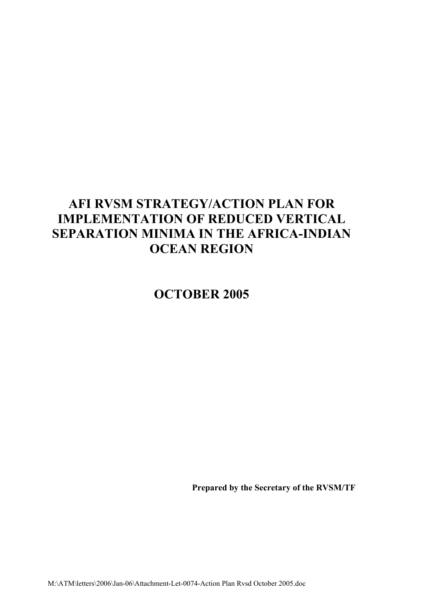# **AFI RVSM STRATEGY/ACTION PLAN FOR IMPLEMENTATION OF REDUCED VERTICAL SEPARATION MINIMA IN THE AFRICA-INDIAN OCEAN REGION**

**OCTOBER 2005**

**Prepared by the Secretary of the RVSM/TF**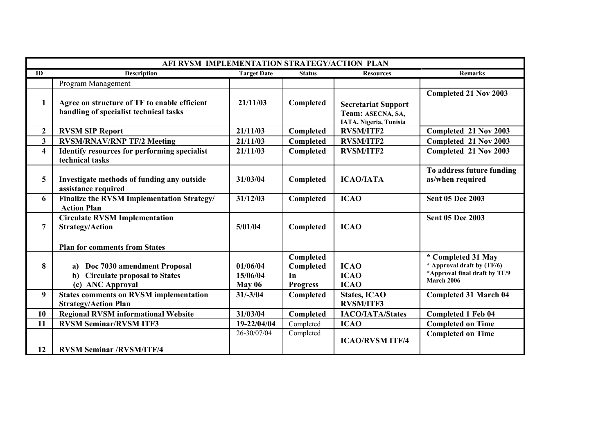|                         | AFI RVSM IMPLEMENTATION STRATEGY/ACTION PLAN                                                           |                                       |                                                 |                                                                           |                                                                                                        |  |  |
|-------------------------|--------------------------------------------------------------------------------------------------------|---------------------------------------|-------------------------------------------------|---------------------------------------------------------------------------|--------------------------------------------------------------------------------------------------------|--|--|
| ID                      | <b>Description</b>                                                                                     | <b>Target Date</b>                    | <b>Status</b>                                   | <b>Resources</b>                                                          | Remarks                                                                                                |  |  |
|                         | Program Management                                                                                     |                                       |                                                 |                                                                           |                                                                                                        |  |  |
| 1                       | Agree on structure of TF to enable efficient<br>handling of specialist technical tasks                 | 21/11/03                              | Completed                                       | <b>Secretariat Support</b><br>Team: ASECNA, SA,<br>IATA, Nigeria, Tunisia | <b>Completed 21 Nov 2003</b>                                                                           |  |  |
| $\mathbf{2}$            | <b>RVSM SIP Report</b>                                                                                 | 21/11/03                              | Completed                                       | <b>RVSM/ITF2</b>                                                          | Completed 21 Nov 2003                                                                                  |  |  |
| 3 <sup>1</sup>          | <b>RVSM/RNAV/RNP TF/2 Meeting</b>                                                                      | 21/11/03                              | Completed                                       | <b>RVSM/ITF2</b>                                                          | Completed 21 Nov 2003                                                                                  |  |  |
| $\overline{\mathbf{4}}$ | <b>Identify resources for performing specialist</b><br>technical tasks                                 | 21/11/03                              | Completed                                       | <b>RVSM/ITF2</b>                                                          | Completed 21 Nov 2003                                                                                  |  |  |
| 5                       | Investigate methods of funding any outside<br>assistance required                                      | 31/03/04                              | Completed                                       | <b>ICAO/IATA</b>                                                          | To address future funding<br>as/when required                                                          |  |  |
| 6                       | Finalize the RVSM Implementation Strategy/<br><b>Action Plan</b>                                       | 31/12/03                              | Completed                                       | <b>ICAO</b>                                                               | <b>Sent 05 Dec 2003</b>                                                                                |  |  |
| 7                       | <b>Circulate RVSM Implementation</b><br><b>Strategy/Action</b><br><b>Plan for comments from States</b> | 5/01/04                               | Completed                                       | <b>ICAO</b>                                                               | <b>Sent 05 Dec 2003</b>                                                                                |  |  |
| 8                       | Doc 7030 amendment Proposal<br>b) Circulate proposal to States<br>(c) ANC Approval                     | 01/06/04<br>15/06/04<br><b>May 06</b> | Completed<br>Completed<br>In<br><b>Progress</b> | <b>ICAO</b><br><b>ICAO</b><br><b>ICAO</b>                                 | * Completed 31 May<br>* Approval draft by (TF/6)<br>*Approval final draft by TF/9<br><b>March 2006</b> |  |  |
| 9                       | <b>States comments on RVSM implementation</b><br><b>Strategy/Action Plan</b>                           | $31/-3/04$                            | Completed                                       | <b>States, ICAO</b><br><b>RVSM/ITF3</b>                                   | <b>Completed 31 March 04</b>                                                                           |  |  |
| 10                      | <b>Regional RVSM informational Website</b>                                                             | 31/03/04                              | Completed                                       | <b>IACO/IATA/States</b>                                                   | <b>Completed 1 Feb 04</b>                                                                              |  |  |
| 11                      | <b>RVSM Seminar/RVSM ITF3</b>                                                                          | 19-22/04/04                           | Completed                                       | <b>ICAO</b>                                                               | <b>Completed on Time</b>                                                                               |  |  |
| 12                      | <b>RVSM Seminar /RVSM/ITF/4</b>                                                                        | 26-30/07/04                           | Completed                                       | <b>ICAO/RVSM ITF/4</b>                                                    | <b>Completed on Time</b>                                                                               |  |  |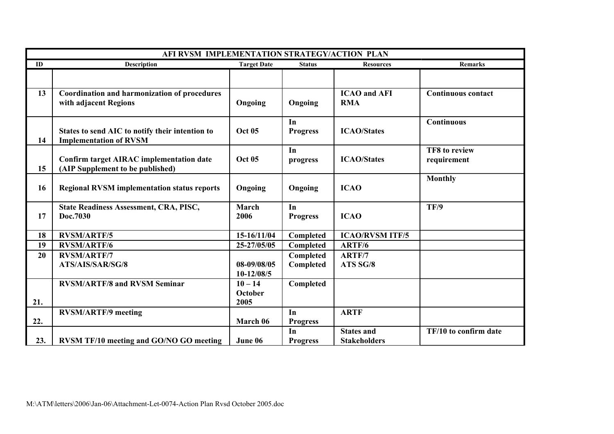| AFI RVSM IMPLEMENTATION STRATEGY/ACTION PLAN |                                                                                     |                                     |                        |                                          |                              |  |
|----------------------------------------------|-------------------------------------------------------------------------------------|-------------------------------------|------------------------|------------------------------------------|------------------------------|--|
| ID                                           | <b>Description</b>                                                                  | <b>Target Date</b>                  | <b>Status</b>          | <b>Resources</b>                         | <b>Remarks</b>               |  |
|                                              |                                                                                     |                                     |                        |                                          |                              |  |
| 13                                           | <b>Coordination and harmonization of procedures</b><br>with adjacent Regions        | Ongoing                             | Ongoing                | <b>ICAO</b> and AFI<br><b>RMA</b>        | <b>Continuous contact</b>    |  |
| 14                                           | States to send AIC to notify their intention to<br><b>Implementation of RVSM</b>    | <b>Oct 05</b>                       | In<br><b>Progress</b>  | <b>ICAO/States</b>                       | <b>Continuous</b>            |  |
| 15                                           | <b>Confirm target AIRAC implementation date</b><br>(AIP Supplement to be published) | <b>Oct 05</b>                       | In<br>progress         | <b>ICAO/States</b>                       | TF8 to review<br>requirement |  |
| 16                                           | <b>Regional RVSM implementation status reports</b>                                  | Ongoing                             | Ongoing                | <b>ICAO</b>                              | <b>Monthly</b>               |  |
| 17                                           | <b>State Readiness Assessment, CRA, PISC,</b><br>Doc.7030                           | <b>March</b><br>2006                | In<br><b>Progress</b>  | <b>ICAO</b>                              | TF/9                         |  |
| 18                                           | <b>RVSM/ARTF/5</b>                                                                  | 15-16/11/04                         | Completed              | <b>ICAO/RVSM ITF/5</b>                   |                              |  |
| 19                                           | <b>RVSM/ARTF/6</b>                                                                  | 25-27/05/05                         | Completed              | ARTF/6                                   |                              |  |
| 20                                           | <b>RVSM/ARTF/7</b><br>ATS/AIS/SAR/SG/8                                              | 08-09/08/05<br>10-12/08/5           | Completed<br>Completed | ARTF/7<br>ATS SG/8                       |                              |  |
| 21.                                          | <b>RVSM/ARTF/8 and RVSM Seminar</b>                                                 | $10 - 14$<br><b>October</b><br>2005 | Completed              |                                          |                              |  |
| 22.                                          | <b>RVSM/ARTF/9 meeting</b>                                                          | March 06                            | In<br><b>Progress</b>  | <b>ARTF</b>                              |                              |  |
| 23.                                          | <b>RVSM TF/10 meeting and GO/NO GO meeting</b>                                      | June 06                             | In<br><b>Progress</b>  | <b>States and</b><br><b>Stakeholders</b> | TF/10 to confirm date        |  |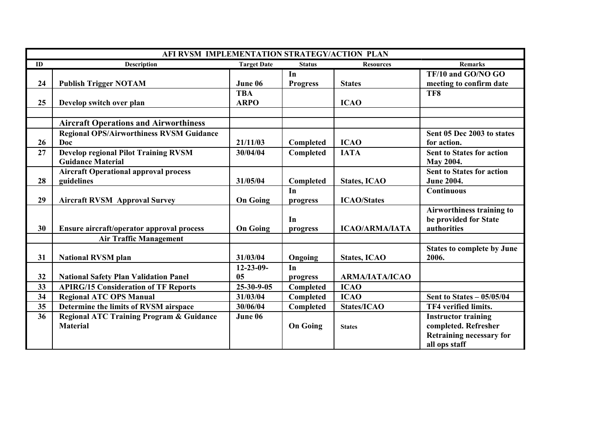| AFI RVSM IMPLEMENTATION STRATEGY/ACTION PLAN |                                                     |                    |                 |                       |                                   |  |
|----------------------------------------------|-----------------------------------------------------|--------------------|-----------------|-----------------------|-----------------------------------|--|
| ID                                           | <b>Description</b>                                  | <b>Target Date</b> | <b>Status</b>   | <b>Resources</b>      | <b>Remarks</b>                    |  |
|                                              |                                                     |                    | In              |                       | TF/10 and GO/NO GO                |  |
| 24                                           | <b>Publish Trigger NOTAM</b>                        | June 06            | <b>Progress</b> | <b>States</b>         | meeting to confirm date           |  |
|                                              |                                                     | <b>TBA</b>         |                 |                       | TF8                               |  |
| 25                                           | Develop switch over plan                            | <b>ARPO</b>        |                 | <b>ICAO</b>           |                                   |  |
|                                              |                                                     |                    |                 |                       |                                   |  |
|                                              | <b>Aircraft Operations and Airworthiness</b>        |                    |                 |                       |                                   |  |
|                                              | <b>Regional OPS/Airworthiness RVSM Guidance</b>     |                    |                 |                       | Sent 05 Dec 2003 to states        |  |
| 26                                           | Doc                                                 | 21/11/03           | Completed       | <b>ICAO</b>           | for action.                       |  |
| 27                                           | <b>Develop regional Pilot Training RVSM</b>         | 30/04/04           | Completed       | <b>IATA</b>           | <b>Sent to States for action</b>  |  |
|                                              | <b>Guidance Material</b>                            |                    |                 |                       | May 2004.                         |  |
|                                              | <b>Aircraft Operational approval process</b>        |                    |                 |                       | <b>Sent to States for action</b>  |  |
| 28                                           | guidelines                                          | 31/05/04           | Completed       | <b>States, ICAO</b>   | <b>June 2004.</b>                 |  |
|                                              |                                                     |                    | In              |                       | <b>Continuous</b>                 |  |
| 29                                           | <b>Aircraft RVSM Approval Survey</b>                | <b>On Going</b>    | progress        | <b>ICAO/States</b>    |                                   |  |
|                                              |                                                     |                    |                 |                       | Airworthiness training to         |  |
|                                              |                                                     |                    | In              |                       | be provided for State             |  |
| 30                                           | Ensure aircraft/operator approval process           | <b>On Going</b>    | progress        | <b>ICAO/ARMA/IATA</b> | authorities                       |  |
|                                              | <b>Air Traffic Management</b>                       |                    |                 |                       |                                   |  |
|                                              |                                                     |                    |                 |                       | <b>States to complete by June</b> |  |
| 31                                           | <b>National RVSM plan</b>                           | 31/03/04           | Ongoing         | <b>States, ICAO</b>   | 2006.                             |  |
|                                              |                                                     | 12-23-09-          | In              |                       |                                   |  |
| 32                                           | <b>National Safety Plan Validation Panel</b>        | 05                 | progress        | <b>ARMA/IATA/ICAO</b> |                                   |  |
| 33                                           | <b>APIRG/15 Consideration of TF Reports</b>         | 25-30-9-05         | Completed       | <b>ICAO</b>           |                                   |  |
| 34                                           | <b>Regional ATC OPS Manual</b>                      | 31/03/04           | Completed       | <b>ICAO</b>           | Sent to States $-05/05/04$        |  |
| 35                                           | Determine the limits of RVSM airspace               | 30/06/04           | Completed       | States/ICAO           | TF4 verified limits.              |  |
| 36                                           | <b>Regional ATC Training Program &amp; Guidance</b> | June 06            |                 |                       | <b>Instructor training</b>        |  |
|                                              | <b>Material</b>                                     |                    | <b>On Going</b> | <b>States</b>         | completed. Refresher              |  |
|                                              |                                                     |                    |                 |                       | <b>Retraining necessary for</b>   |  |
|                                              |                                                     |                    |                 |                       | all ops staff                     |  |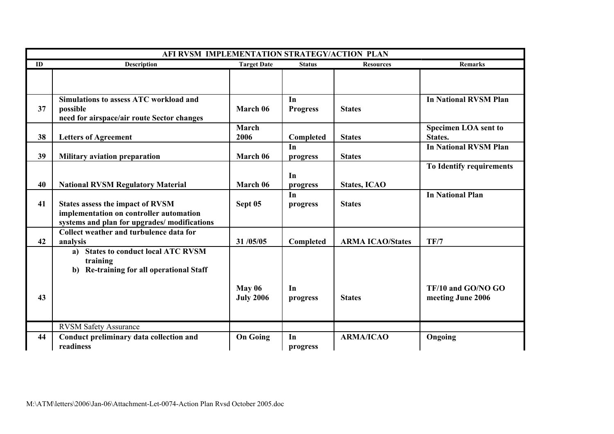| AFI RVSM IMPLEMENTATION STRATEGY/ACTION PLAN |                                                                                                                                   |                                   |                       |                         |                                         |  |
|----------------------------------------------|-----------------------------------------------------------------------------------------------------------------------------------|-----------------------------------|-----------------------|-------------------------|-----------------------------------------|--|
| ID                                           | Description                                                                                                                       | <b>Target Date</b>                | <b>Status</b>         | <b>Resources</b>        | <b>Remarks</b>                          |  |
|                                              |                                                                                                                                   |                                   |                       |                         |                                         |  |
| 37                                           | <b>Simulations to assess ATC workload and</b><br>possible<br>need for airspace/air route Sector changes                           | March 06                          | In<br><b>Progress</b> | <b>States</b>           | <b>In National RVSM Plan</b>            |  |
| 38                                           | <b>Letters of Agreement</b>                                                                                                       | March<br>2006                     | Completed             | <b>States</b>           | <b>Specimen LOA sent to</b><br>States.  |  |
| 39                                           | <b>Military aviation preparation</b>                                                                                              | March 06                          | In<br>progress        | <b>States</b>           | <b>In National RVSM Plan</b>            |  |
| 40                                           | <b>National RVSM Regulatory Material</b>                                                                                          | March 06                          | In<br>progress        | <b>States, ICAO</b>     | To Identify requirements                |  |
| 41                                           | <b>States assess the impact of RVSM</b><br>implementation on controller automation<br>systems and plan for upgrades/modifications | Sept 05                           | In<br>progress        | <b>States</b>           | <b>In National Plan</b>                 |  |
| 42                                           | Collect weather and turbulence data for<br>analysis                                                                               | 31/05/05                          | Completed             | <b>ARMA ICAO/States</b> | TF/7                                    |  |
|                                              | <b>States to conduct local ATC RVSM</b><br>a)<br>training<br>b) Re-training for all operational Staff                             |                                   |                       |                         |                                         |  |
| 43                                           |                                                                                                                                   | <b>May 06</b><br><b>July 2006</b> | In<br>progress        | <b>States</b>           | TF/10 and GO/NO GO<br>meeting June 2006 |  |
|                                              | <b>RVSM Safety Assurance</b>                                                                                                      |                                   |                       |                         |                                         |  |
| 44                                           | Conduct preliminary data collection and<br>readiness                                                                              | <b>On Going</b>                   | In<br>progress        | <b>ARMA/ICAO</b>        | Ongoing                                 |  |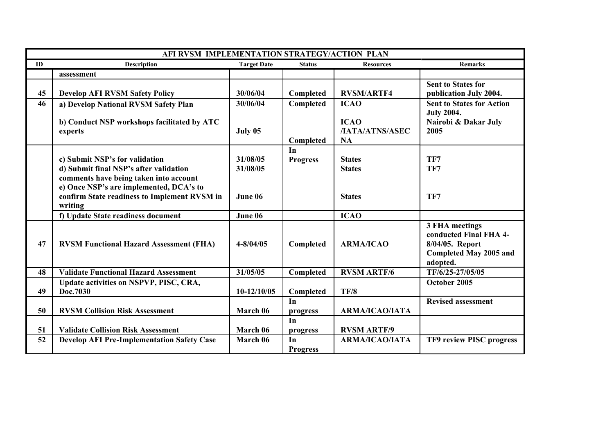| AFI RVSM IMPLEMENTATION STRATEGY/ACTION PLAN |                                                                                                                                                               |                      |                       |                                                    |                                                                                                   |  |
|----------------------------------------------|---------------------------------------------------------------------------------------------------------------------------------------------------------------|----------------------|-----------------------|----------------------------------------------------|---------------------------------------------------------------------------------------------------|--|
| ID                                           | <b>Description</b>                                                                                                                                            | <b>Target Date</b>   | <b>Status</b>         | <b>Resources</b>                                   | <b>Remarks</b>                                                                                    |  |
|                                              | assessment                                                                                                                                                    |                      |                       |                                                    |                                                                                                   |  |
| 45                                           | <b>Develop AFI RVSM Safety Policy</b>                                                                                                                         | 30/06/04             | Completed             | <b>RVSM/ARTF4</b>                                  | <b>Sent to States for</b><br>publication July 2004.                                               |  |
| 46                                           | a) Develop National RVSM Safety Plan                                                                                                                          | 30/06/04             | Completed             | <b>ICAO</b>                                        | <b>Sent to States for Action</b>                                                                  |  |
|                                              | b) Conduct NSP workshops facilitated by ATC<br>experts                                                                                                        | July 05              | Completed             | <b>ICAO</b><br><b>/IATA/ATNS/ASEC</b><br><b>NA</b> | <b>July 2004.</b><br>Nairobi & Dakar July<br>2005                                                 |  |
|                                              | c) Submit NSP's for validation<br>d) Submit final NSP's after validation<br>comments have being taken into account<br>e) Once NSP's are implemented, DCA's to | 31/08/05<br>31/08/05 | In<br><b>Progress</b> | <b>States</b><br><b>States</b>                     | TF7<br>TF7                                                                                        |  |
|                                              | confirm State readiness to Implement RVSM in<br>writing                                                                                                       | June 06              |                       | <b>States</b>                                      | TF7                                                                                               |  |
|                                              | f) Update State readiness document                                                                                                                            | June 06              |                       | <b>ICAO</b>                                        |                                                                                                   |  |
| 47                                           | <b>RVSM Functional Hazard Assessment (FHA)</b>                                                                                                                | $4 - 8/04/05$        | Completed             | <b>ARMA/ICAO</b>                                   | 3 FHA meetings<br>conducted Final FHA 4-<br>8/04/05. Report<br>Completed May 2005 and<br>adopted. |  |
| 48                                           | <b>Validate Functional Hazard Assessment</b>                                                                                                                  | 31/05/05             | Completed             | <b>RVSM ARTF/6</b>                                 | TF/6/25-27/05/05                                                                                  |  |
| 49                                           | Update activities on NSPVP, PISC, CRA,<br>Doc.7030                                                                                                            | $10-12/10/05$        | Completed             | TF/8                                               | October 2005                                                                                      |  |
| 50                                           | <b>RVSM Collision Risk Assessment</b>                                                                                                                         | March 06             | In<br>progress        | ΑRΜΑ/ΙCAO/ΙΑΤΑ                                     | <b>Revised assessment</b>                                                                         |  |
| 51                                           | <b>Validate Collision Risk Assessment</b>                                                                                                                     | March 06             | In<br>progress        | <b>RVSM ARTF/9</b>                                 |                                                                                                   |  |
| 52                                           | <b>Develop AFI Pre-Implementation Safety Case</b>                                                                                                             | March 06             | In<br><b>Progress</b> | <b>ARMA/ICAO/IATA</b>                              | TF9 review PISC progress                                                                          |  |